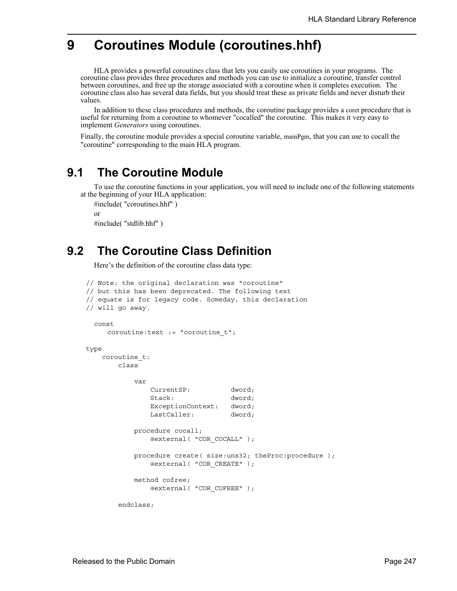# **9 Coroutines Module (coroutines.hhf)**

HLA provides a powerful coroutines class that lets you easily use coroutines in your programs. The coroutine class provides three procedures and methods you can use to initialize a coroutine, transfer control between coroutines, and free up the storage associated with a coroutine when it completes execution. The coroutine class also has several data fields, but you should treat these as private fields and never disturb their values.

In addition to these class procedures and methods, the coroutine package provides a coret procedure that is useful for returning from a coroutine to whomever "cocalled" the coroutine. This makes it very easy to implement *Generators* using coroutines.

Finally, the coroutine module provides a special coroutine variable, mainPgm, that you can use to cocall the "coroutine" corresponding to the main HLA program.

## **9.1 The Coroutine Module**

To use the coroutine functions in your application, you will need to include one of the following statements at the beginning of your HLA application:

```
#include( "coroutines.hhf" )
or
#include( "stdlib.hhf" )
```
# **9.2 The Coroutine Class Definition**

Here's the definition of the coroutine class data type:

```
// Note: the original declaration was "coroutine" 
// but this has been deprecated. The following text
// equate is for legacy code. Someday, this declaration
// will go away.
  const
     coroutine:text := "coroutine_t";
type
     coroutine_t:
        class
             var
                 CurrentSP: dword;
                Stack: dword;
                ExceptionContext: dword;
                LastCaller: dword;
             procedure cocall; 
                @external( "COR_COCALL" );
             procedure create( size:uns32; theProc:procedure );
                @external( "COR_CREATE" );
             method cofree;
                 @external( "COR_COFREE" );
         endclass;
```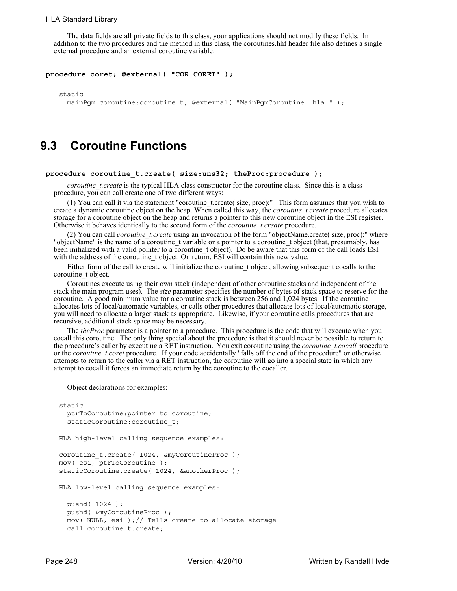The data fields are all private fields to this class, your applications should not modify these fields. In addition to the two procedures and the method in this class, the coroutines.hhf header file also defines a single external procedure and an external coroutine variable:

```
procedure coret; @external( "COR_CORET" );
```
static

```
mainPgm_coroutine:coroutine_t; @external( "MainPgmCoroutine_hla_" );
```
### **9.3 Coroutine Functions**

### **procedure coroutine\_t.create( size:uns32; theProc:procedure );**

*coroutine t.create* is the typical HLA class constructor for the coroutine class. Since this is a class procedure, you can call create one of two different ways:

(1) You can call it via the statement "coroutine\_t.create( size, proc);" This form assumes that you wish to create a dynamic coroutine object on the heap. When called this way, the *coroutine\_t.create* procedure allocates storage for a coroutine object on the heap and returns a pointer to this new coroutine object in the ESI register. Otherwise it behaves identically to the second form of the *coroutine\_t.create* procedure.

(2) You can call *coroutine\_t.create* using an invocation of the form "objectName.create( size, proc);" where "objectName" is the name of a coroutine\_t variable or a pointer to a coroutine\_t object (that, presumably, has been initialized with a valid pointer to a coroutine t object). Do be aware that this form of the call loads ESI with the address of the coroutine\_t object. On return, ESI will contain this new value.

Either form of the call to create will initialize the coroutine\_t object, allowing subsequent cocalls to the coroutine t object.

Coroutines execute using their own stack (independent of other coroutine stacks and independent of the stack the main program uses). The *size* parameter specifies the number of bytes of stack space to reserve for the coroutine. A good minimum value for a coroutine stack is between 256 and 1,024 bytes. If the coroutine allocates lots of local/automatic variables, or calls other procedures that allocate lots of local/automatic storage, you will need to allocate a larger stack as appropriate. Likewise, if your coroutine calls procedures that are recursive, additional stack space may be necessary.

The *theProc* parameter is a pointer to a procedure. This procedure is the code that will execute when you cocall this coroutine. The only thing special about the procedure is that it should never be possible to return to the procedure's caller by executing a RET instruction. You exit coroutine using the *coroutine t.cocall* procedure or the *coroutine t.coret* procedure. If your code accidentally "falls off the end of the procedure" or otherwise attempts to return to the caller via a RET instruction, the coroutine will go into a special state in which any attempt to cocall it forces an immediate return by the coroutine to the cocaller.

Object declarations for examples:

```
static
  ptrToCoroutine:pointer to coroutine;
  staticCoroutine:coroutine_t;
HLA high-level calling sequence examples:
coroutine t.create( 1024, &myCoroutineProc );
mov( esi, ptrToCoroutine );
staticCoroutine.create( 1024, &anotherProc );
HLA low-level calling sequence examples:
  pushd( 1024 );
  pushd( &myCoroutineProc );
  mov( NULL, esi ); // Tells create to allocate storage
  call coroutine t.create;
```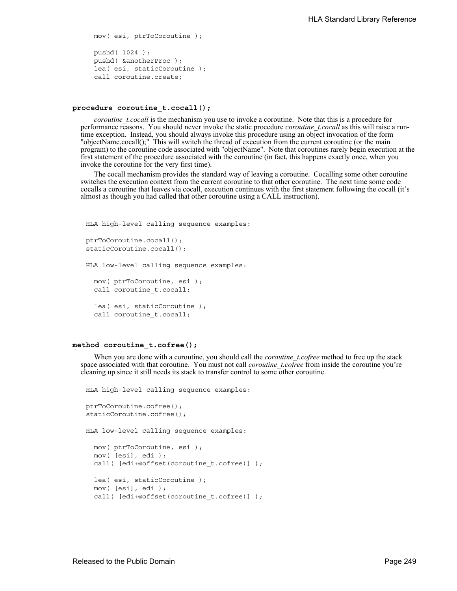```
mov( esi, ptrToCoroutine );
pushd( 1024 );
pushd( &anotherProc );
lea( esi, staticCoroutine );
call coroutine.create;
```
#### **procedure coroutine\_t.cocall();**

*coroutine t.cocall* is the mechanism you use to invoke a coroutine. Note that this is a procedure for performance reasons. You should never invoke the static procedure *coroutine\_t.cocall* as this will raise a runtime exception. Instead, you should always invoke this procedure using an object invocation of the form "objectName.cocall();" This will switch the thread of execution from the current coroutine (or the main program) to the coroutine code associated with "objectName". Note that coroutines rarely begin execution at the first statement of the procedure associated with the coroutine (in fact, this happens exactly once, when you invoke the coroutine for the very first time).

The cocall mechanism provides the standard way of leaving a coroutine. Cocalling some other coroutine switches the execution context from the current coroutine to that other coroutine. The next time some code cocalls a coroutine that leaves via cocall, execution continues with the first statement following the cocall (it's almost as though you had called that other coroutine using a CALL instruction).

```
HLA high-level calling sequence examples:
ptrToCoroutine.cocall();
staticCoroutine.cocall();
HLA low-level calling sequence examples:
 mov( ptrToCoroutine, esi );
 call coroutine t.cocall;
  lea( esi, staticCoroutine );
  call coroutine t.cocall;
```
#### **method coroutine\_t.cofree();**

When you are done with a coroutine, you should call the *coroutine\_t.cofree* method to free up the stack space associated with that coroutine. You must not call *coroutine t.cofree* from inside the coroutine you're cleaning up since it still needs its stack to transfer control to some other coroutine.

```
HLA high-level calling sequence examples:
ptrToCoroutine.cofree();
staticCoroutine.cofree();
HLA low-level calling sequence examples:
 mov( ptrToCoroutine, esi );
 mov( [esi], edi );
  call( [edi+@offset(coroutine t.cofree)] );
  lea( esi, staticCoroutine );
 mov( [esi], edi );
  call( [edi+@offset(coroutine_t.cofree)] );
```